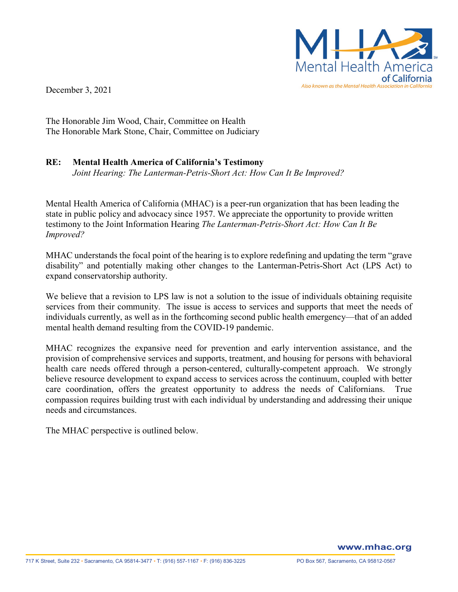

December 3, 2021

The Honorable Jim Wood, Chair, Committee on Health The Honorable Mark Stone, Chair, Committee on Judiciary

## **RE: Mental Health America of California's Testimony**

*Joint Hearing: The Lanterman-Petris-Short Act: How Can It Be Improved?*

Mental Health America of California (MHAC) is a peer-run organization that has been leading the state in public policy and advocacy since 1957. We appreciate the opportunity to provide written testimony to the Joint Information Hearing *The Lanterman-Petris-Short Act: How Can It Be Improved?*

MHAC understands the focal point of the hearing is to explore redefining and updating the term "grave disability" and potentially making other changes to the Lanterman-Petris-Short Act (LPS Act) to expand conservatorship authority.

We believe that a revision to LPS law is not a solution to the issue of individuals obtaining requisite services from their community. The issue is access to services and supports that meet the needs of individuals currently, as well as in the forthcoming second public health emergency—that of an added mental health demand resulting from the COVID-19 pandemic.

MHAC recognizes the expansive need for prevention and early intervention assistance, and the provision of comprehensive services and supports, treatment, and housing for persons with behavioral health care needs offered through a person-centered, culturally-competent approach. We strongly believe resource development to expand access to services across the continuum, coupled with better care coordination, offers the greatest opportunity to address the needs of Californians. True compassion requires building trust with each individual by understanding and addressing their unique needs and circumstances.

The MHAC perspective is outlined below.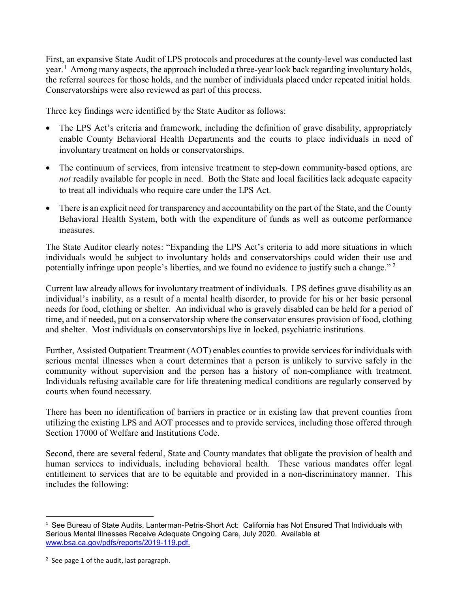First, an expansive State Audit of LPS protocols and procedures at the county-level was conducted last year.<sup>[1](#page-1-0)</sup> Among many aspects, the approach included a three-year look back regarding involuntary holds, the referral sources for those holds, and the number of individuals placed under repeated initial holds. Conservatorships were also reviewed as part of this process.

Three key findings were identified by the State Auditor as follows:

- The LPS Act's criteria and framework, including the definition of grave disability, appropriately enable County Behavioral Health Departments and the courts to place individuals in need of involuntary treatment on holds or conservatorships.
- The continuum of services, from intensive treatment to step-down community-based options, are *not* readily available for people in need. Both the State and local facilities lack adequate capacity to treat all individuals who require care under the LPS Act.
- There is an explicit need for transparency and accountability on the part of the State, and the County Behavioral Health System, both with the expenditure of funds as well as outcome performance measures.

The State Auditor clearly notes: "Expanding the LPS Act's criteria to add more situations in which individuals would be subject to involuntary holds and conservatorships could widen their use and potentially infringe upon people's liberties, and we found no evidence to justify such a change." [2](#page-1-1)

Current law already allows for involuntary treatment of individuals. LPS defines grave disability as an individual's inability, as a result of a mental health disorder, to provide for his or her basic personal needs for food, clothing or shelter. An individual who is gravely disabled can be held for a period of time, and if needed, put on a conservatorship where the conservator ensures provision of food, clothing and shelter. Most individuals on conservatorships live in locked, psychiatric institutions.

Further, Assisted Outpatient Treatment (AOT) enables counties to provide services for individuals with serious mental illnesses when a court determines that a person is unlikely to survive safely in the community without supervision and the person has a history of non-compliance with treatment. Individuals refusing available care for life threatening medical conditions are regularly conserved by courts when found necessary.

There has been no identification of barriers in practice or in existing law that prevent counties from utilizing the existing LPS and AOT processes and to provide services, including those offered through Section 17000 of Welfare and Institutions Code.

Second, there are several federal, State and County mandates that obligate the provision of health and human services to individuals, including behavioral health. These various mandates offer legal entitlement to services that are to be equitable and provided in a non-discriminatory manner. This includes the following:

<span id="page-1-0"></span> $\overline{1}$  $1$  See Bureau of State Audits, Lanterman-Petris-Short Act: California has Not Ensured That Individuals with Serious Mental Illnesses Receive Adequate Ongoing Care, July 2020. Available at [www.bsa.ca.gov/pdfs/reports/2019-119.pdf.](http://www.bsa.ca.gov/pdfs/reports/2019-119.pdf)

<span id="page-1-1"></span> $2$  See page 1 of the audit, last paragraph.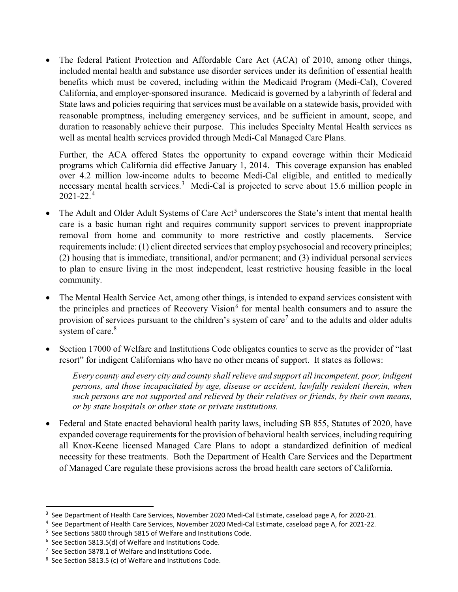• The federal Patient Protection and Affordable Care Act (ACA) of 2010, among other things, included mental health and substance use disorder services under its definition of essential health benefits which must be covered, including within the Medicaid Program (Medi-Cal), Covered California, and employer-sponsored insurance. Medicaid is governed by a labyrinth of federal and State laws and policies requiring that services must be available on a statewide basis, provided with reasonable promptness, including emergency services, and be sufficient in amount, scope, and duration to reasonably achieve their purpose. This includes Specialty Mental Health services as well as mental health services provided through Medi-Cal Managed Care Plans.

Further, the ACA offered States the opportunity to expand coverage within their Medicaid programs which California did effective January 1, 2014. This coverage expansion has enabled over 4.2 million low-income adults to become Medi-Cal eligible, and entitled to medically necessary mental health services.<sup>[3](#page-2-0)</sup> Medi-Cal is projected to serve about 15.6 million people in  $2021 - 22.4$  $2021 - 22.4$ 

- The Adult and Older Adult Systems of Care Act<sup>[5](#page-2-2)</sup> underscores the State's intent that mental health care is a basic human right and requires community support services to prevent inappropriate removal from home and community to more restrictive and costly placements. Service requirements include: (1) client directed services that employ psychosocial and recovery principles; (2) housing that is immediate, transitional, and/or permanent; and (3) individual personal services to plan to ensure living in the most independent, least restrictive housing feasible in the local community.
- The Mental Health Service Act, among other things, is intended to expand services consistent with the principles and practices of Recovery Vision<sup>[6](#page-2-3)</sup> for mental health consumers and to assure the provision of services pursuant to the children's system of care<sup>[7](#page-2-4)</sup> and to the adults and older adults system of care.<sup>[8](#page-2-5)</sup>
- Section 17000 of Welfare and Institutions Code obligates counties to serve as the provider of "last resort" for indigent Californians who have no other means of support. It states as follows:

*Every county and every city and county shall relieve and support all incompetent, poor, indigent persons, and those incapacitated by age, disease or accident, lawfully resident therein, when such persons are not supported and relieved by their relatives or friends, by their own means, or by state hospitals or other state or private institutions.*

• Federal and State enacted behavioral health parity laws, including SB 855, Statutes of 2020, have expanded coverage requirements for the provision of behavioral health services, including requiring all Knox-Keene licensed Managed Care Plans to adopt a standardized definition of medical necessity for these treatments. Both the Department of Health Care Services and the Department of Managed Care regulate these provisions across the broad health care sectors of California.

<span id="page-2-0"></span><sup>-&</sup>lt;br>3 <sup>3</sup> See Department of Health Care Services, November 2020 Medi-Cal Estimate, caseload page A, for 2020-21.

<span id="page-2-1"></span><sup>4</sup> See Department of Health Care Services, November 2020 Medi-Cal Estimate, caseload page A, for 2021-22.

<span id="page-2-2"></span><sup>&</sup>lt;sup>5</sup> See Sections 5800 through 5815 of Welfare and Institutions Code.

<span id="page-2-3"></span> $6$  See Section 5813.5(d) of Welfare and Institutions Code.

<span id="page-2-4"></span><sup>&</sup>lt;sup>7</sup> See Section 5878.1 of Welfare and Institutions Code.

<span id="page-2-5"></span><sup>&</sup>lt;sup>8</sup> See Section 5813.5 (c) of Welfare and Institutions Code.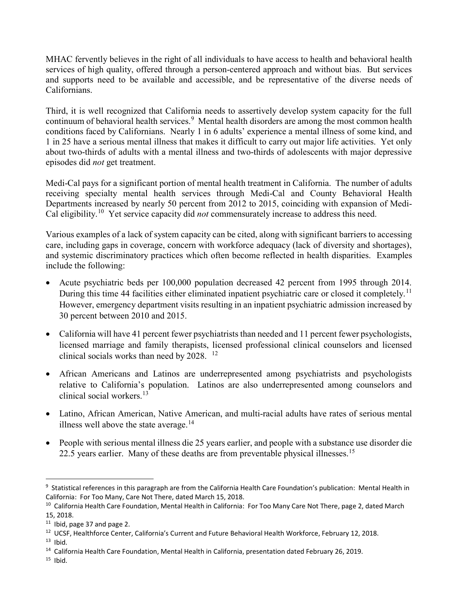MHAC fervently believes in the right of all individuals to have access to health and behavioral health services of high quality, offered through a person-centered approach and without bias. But services and supports need to be available and accessible, and be representative of the diverse needs of Californians.

Third, it is well recognized that California needs to assertively develop system capacity for the full continuum of behavioral health services.<sup>[9](#page-3-0)</sup> Mental health disorders are among the most common health conditions faced by Californians. Nearly 1 in 6 adults' experience a mental illness of some kind, and 1 in 25 have a serious mental illness that makes it difficult to carry out major life activities. Yet only about two-thirds of adults with a mental illness and two-thirds of adolescents with major depressive episodes did *not* get treatment.

Medi-Cal pays for a significant portion of mental health treatment in California. The number of adults receiving specialty mental health services through Medi-Cal and County Behavioral Health Departments increased by nearly 50 percent from 2012 to 2015, coinciding with expansion of Medi-Cal eligibility.[10](#page-3-1) Yet service capacity did *not* commensurately increase to address this need.

Various examples of a lack of system capacity can be cited, along with significant barriers to accessing care, including gaps in coverage, concern with workforce adequacy (lack of diversity and shortages), and systemic discriminatory practices which often become reflected in health disparities. Examples include the following:

- Acute psychiatric beds per 100,000 population decreased 42 percent from 1995 through 2014. During this time 44 facilities either eliminated inpatient psychiatric care or closed it completely.<sup>11</sup> However, emergency department visits resulting in an inpatient psychiatric admission increased by 30 percent between 2010 and 2015.
- California will have 41 percent fewer psychiatrists than needed and 11 percent fewer psychologists, licensed marriage and family therapists, licensed professional clinical counselors and licensed clinical socials works than need by 2028. <sup>[12](#page-3-3)</sup>
- African Americans and Latinos are underrepresented among psychiatrists and psychologists relative to California's population. Latinos are also underrepresented among counselors and clinical social workers $13$
- Latino, African American, Native American, and multi-racial adults have rates of serious mental illness well above the state average.<sup>[14](#page-3-5)</sup>
- People with serious mental illness die 25 years earlier, and people with a substance use disorder die 22.5 years earlier. Many of these deaths are from preventable physical illnesses.<sup>[15](#page-3-6)</sup>

<span id="page-3-0"></span><sup>–&</sup>lt;br>9  $9$  Statistical references in this paragraph are from the California Health Care Foundation's publication: Mental Health in California: For Too Many, Care Not There, dated March 15, 2018.

<span id="page-3-1"></span><sup>&</sup>lt;sup>10</sup> California Health Care Foundation, Mental Health in California: For Too Many Care Not There, page 2, dated March 15, 2018.

<span id="page-3-2"></span> $11$  Ibid, page 37 and page 2.

<span id="page-3-3"></span><sup>&</sup>lt;sup>12</sup> UCSF, Healthforce Center, California's Current and Future Behavioral Health Workforce, February 12, 2018.

<span id="page-3-4"></span> $13$  Ibid.

<span id="page-3-6"></span><span id="page-3-5"></span><sup>&</sup>lt;sup>14</sup> California Health Care Foundation, Mental Health in California, presentation dated February 26, 2019.